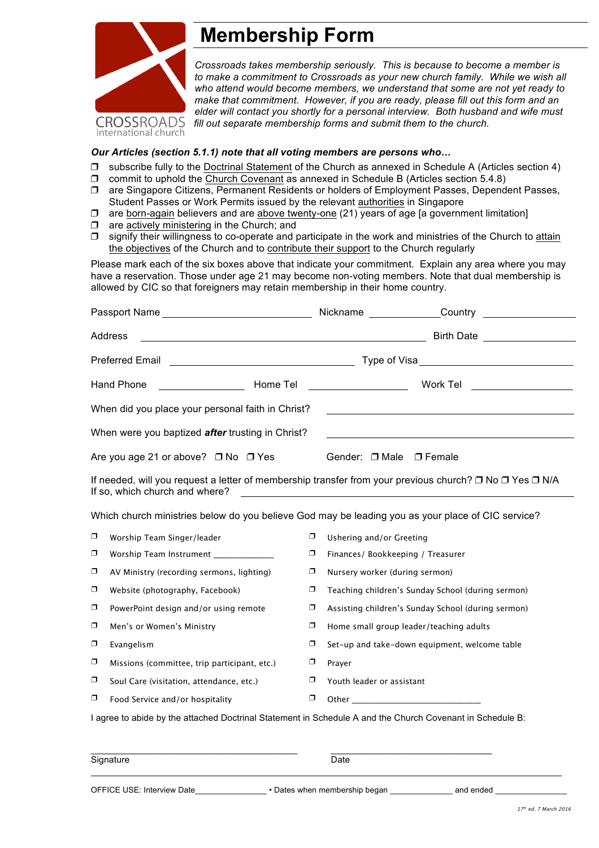

## **Membership Form**

*Crossroads takes membership seriously. This is because to become a member is*  to make a commitment to Crossroads as your new church family. While we wish all *who attend would become members, we understand that some are not yet ready to make that commitment. However, if you are ready, please fill out this form and an elder will contact you shortly for a personal interview. Both husband and wife must fill out separate membership forms and submit them to the church.*

## *Our Articles (section 5.1.1) note that all voting members are persons who…*

- ❒ subscribe fully to the Doctrinal Statement of the Church as annexed in Schedule A (Articles section 4)
- ❒ commit to uphold the Church Covenant as annexed in Schedule B (Articles section 5.4.8)
- ❒ are Singapore Citizens, Permanent Residents or holders of Employment Passes, Dependent Passes, Student Passes or Work Permits issued by the relevant authorities in Singapore
- ❒ are born-again believers and are above twenty-one (21) years of age [a government limitation]
- ❒ are actively ministering in the Church; and
- ❒ signify their willingness to co-operate and participate in the work and ministries of the Church to attain the objectives of the Church and to contribute their support to the Church regularly

Please mark each of the six boxes above that indicate your commitment. Explain any area where you may have a reservation. Those under age 21 may become non-voting members. Note that dual membership is allowed by CIC so that foreigners may retain membership in their home country.

| Passport Name                                                                                                                                                                                      |                                                                                                                                  |        | Nickname Country                                   |  |
|----------------------------------------------------------------------------------------------------------------------------------------------------------------------------------------------------|----------------------------------------------------------------------------------------------------------------------------------|--------|----------------------------------------------------|--|
|                                                                                                                                                                                                    | Address<br><u> 1989 - Johann Barn, mars ann an t-Amhain Aonaich an t-Aonaich an t-Aonaich an t-Aonaich an t-Aonaich an t-Aon</u> |        | Birth Date <b>Example 20</b>                       |  |
| <b>Preferred Email</b>                                                                                                                                                                             |                                                                                                                                  |        |                                                    |  |
| Home Tel<br><b>Hand Phone</b>                                                                                                                                                                      |                                                                                                                                  |        | Work Tel                                           |  |
| When did you place your personal faith in Christ?                                                                                                                                                  |                                                                                                                                  |        |                                                    |  |
| When were you baptized after trusting in Christ?                                                                                                                                                   |                                                                                                                                  |        |                                                    |  |
| Are you age 21 or above? □ No □ Yes                                                                                                                                                                |                                                                                                                                  |        | Gender: □ Male □ Female                            |  |
| If needed, will you request a letter of membership transfer from your previous church? □ No □ Yes □ N/A<br>If so, which church and where?<br><u> 1980 - Johann Stein, fransk politik (f. 1980)</u> |                                                                                                                                  |        |                                                    |  |
| Which church ministries below do you believe God may be leading you as your place of CIC service?                                                                                                  |                                                                                                                                  |        |                                                    |  |
| σ                                                                                                                                                                                                  | Worship Team Singer/leader                                                                                                       | σ      | Ushering and/or Greeting                           |  |
| σ                                                                                                                                                                                                  | Worship Team Instrument ______________                                                                                           | σ      | Finances/ Bookkeeping / Treasurer                  |  |
| σ                                                                                                                                                                                                  | AV Ministry (recording sermons, lighting)                                                                                        | $\Box$ | Nursery worker (during sermon)                     |  |
| σ                                                                                                                                                                                                  | Website (photography, Facebook)                                                                                                  | σ      | Teaching children's Sunday School (during sermon)  |  |
| σ                                                                                                                                                                                                  | PowerPoint design and/or using remote                                                                                            | σ      | Assisting children's Sunday School (during sermon) |  |
| σ                                                                                                                                                                                                  | Men's or Women's Ministry                                                                                                        | σ      | Home small group leader/teaching adults            |  |
| σ                                                                                                                                                                                                  | Evangelism                                                                                                                       | σ      | Set-up and take-down equipment, welcome table      |  |
| σ                                                                                                                                                                                                  | Missions (committee, trip participant, etc.)                                                                                     | σ      | Prayer                                             |  |
| σ                                                                                                                                                                                                  | Soul Care (visitation, attendance, etc.)                                                                                         | σ      | Youth leader or assistant                          |  |
| σ                                                                                                                                                                                                  | Food Service and/or hospitality                                                                                                  | σ      |                                                    |  |
| I agree to abide by the attached Doctrinal Statement in Schedule A and the Church Covenant in Schedule B:                                                                                          |                                                                                                                                  |        |                                                    |  |
|                                                                                                                                                                                                    |                                                                                                                                  |        |                                                    |  |
|                                                                                                                                                                                                    | Signature                                                                                                                        |        | Date                                               |  |
|                                                                                                                                                                                                    |                                                                                                                                  |        |                                                    |  |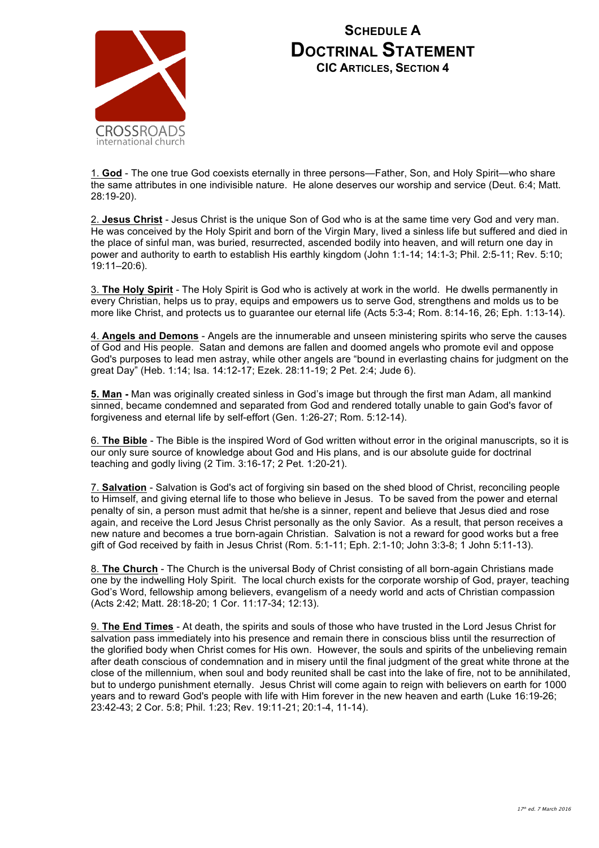

## **SCHEDULE A DOCTRINAL STATEMENT CIC ARTICLES, SECTION 4**

1. **God** - The one true God coexists eternally in three persons—Father, Son, and Holy Spirit—who share the same attributes in one indivisible nature. He alone deserves our worship and service (Deut. 6:4; Matt. 28:19-20).

2. **Jesus Christ** - Jesus Christ is the unique Son of God who is at the same time very God and very man. He was conceived by the Holy Spirit and born of the Virgin Mary, lived a sinless life but suffered and died in the place of sinful man, was buried, resurrected, ascended bodily into heaven, and will return one day in power and authority to earth to establish His earthly kingdom (John 1:1-14; 14:1-3; Phil. 2:5-11; Rev. 5:10; 19:11–20:6).

3. **The Holy Spirit** - The Holy Spirit is God who is actively at work in the world. He dwells permanently in every Christian, helps us to pray, equips and empowers us to serve God, strengthens and molds us to be more like Christ, and protects us to guarantee our eternal life (Acts 5:3-4; Rom. 8:14-16, 26; Eph. 1:13-14).

4. **Angels and Demons** - Angels are the innumerable and unseen ministering spirits who serve the causes of God and His people. Satan and demons are fallen and doomed angels who promote evil and oppose God's purposes to lead men astray, while other angels are "bound in everlasting chains for judgment on the great Day" (Heb. 1:14; Isa. 14:12-17; Ezek. 28:11-19; 2 Pet. 2:4; Jude 6).

**5. Man -** Man was originally created sinless in God's image but through the first man Adam, all mankind sinned, became condemned and separated from God and rendered totally unable to gain God's favor of forgiveness and eternal life by self-effort (Gen. 1:26-27; Rom. 5:12-14).

6. **The Bible** - The Bible is the inspired Word of God written without error in the original manuscripts, so it is our only sure source of knowledge about God and His plans, and is our absolute guide for doctrinal teaching and godly living (2 Tim. 3:16-17; 2 Pet. 1:20-21).

7. **Salvation** - Salvation is God's act of forgiving sin based on the shed blood of Christ, reconciling people to Himself, and giving eternal life to those who believe in Jesus. To be saved from the power and eternal penalty of sin, a person must admit that he/she is a sinner, repent and believe that Jesus died and rose again, and receive the Lord Jesus Christ personally as the only Savior. As a result, that person receives a new nature and becomes a true born-again Christian. Salvation is not a reward for good works but a free gift of God received by faith in Jesus Christ (Rom. 5:1-11; Eph. 2:1-10; John 3:3-8; 1 John 5:11-13).

8. **The Church** - The Church is the universal Body of Christ consisting of all born-again Christians made one by the indwelling Holy Spirit. The local church exists for the corporate worship of God, prayer, teaching God's Word, fellowship among believers, evangelism of a needy world and acts of Christian compassion (Acts 2:42; Matt. 28:18-20; 1 Cor. 11:17-34; 12:13).

9. **The End Times** - At death, the spirits and souls of those who have trusted in the Lord Jesus Christ for salvation pass immediately into his presence and remain there in conscious bliss until the resurrection of the glorified body when Christ comes for His own. However, the souls and spirits of the unbelieving remain after death conscious of condemnation and in misery until the final judgment of the great white throne at the close of the millennium, when soul and body reunited shall be cast into the lake of fire, not to be annihilated, but to undergo punishment eternally. Jesus Christ will come again to reign with believers on earth for 1000 years and to reward God's people with life with Him forever in the new heaven and earth (Luke 16:19-26; 23:42-43; 2 Cor. 5:8; Phil. 1:23; Rev. 19:11-21; 20:1-4, 11-14).